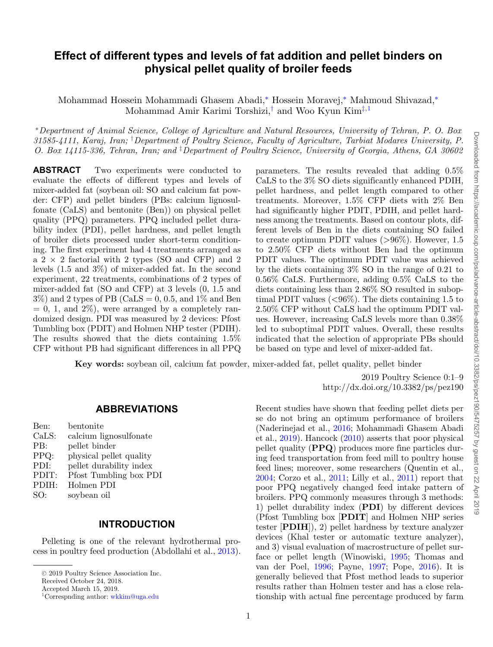# **Effect of different types and levels of fat addition and pellet binders on physical pellet quality of broiler feeds**

<span id="page-0-1"></span>Mohammad Hossein Mohammadi Ghasem Abadi,[∗](#page-0-0) Hossein Moravej,[∗](#page-0-0) Mahmoud Shivazad,[∗](#page-0-0) Mohammad Amir Karimi Torshizi,[†](#page-0-1) and Woo Kyun Kim[‡](#page-0-2)[,1](#page-0-3)

<span id="page-0-0"></span><sup>∗</sup>*Department of Animal Science, College of Agriculture and Natural Resources, University of Tehran, P. O. Box 31585-4111, Karaj, Iran;* † *Department of Poultry Science, Faculty of Agriculture, Tarbiat Modares University, P. O. Box 14115-336, Tehran, Iran; and* ‡ *Department of Poultry Science, University of Georgia, Athens, GA 30602*

**ABSTRACT** Two experiments were conducted to evaluate the effects of different types and levels of mixer-added fat (soybean oil: SO and calcium fat powder: CFP) and pellet binders (PBs: calcium lignosulfonate (CaLS) and bentonite (Ben)) on physical pellet quality (PPQ) parameters. PPQ included pellet durability index (PDI), pellet hardness, and pellet length of broiler diets processed under short-term conditioning. The first experiment had 4 treatments arranged as a  $2 \times 2$  factorial with 2 types (SO and CFP) and 2 levels (1.5 and 3%) of mixer-added fat. In the second experiment, 22 treatments, combinations of 2 types of mixer-added fat (SO and CFP) at 3 levels (0, 1.5 and  $3\%$ ) and 2 types of PB (CaLS = 0, 0.5, and 1\% and Ben  $= 0, 1,$  and  $2\%)$ , were arranged by a completely randomized design. PDI was measured by 2 devices: Pfost Tumbling box (PDIT) and Holmen NHP tester (PDIH). The results showed that the diets containing 1.5% CFP without PB had significant differences in all PPQ

<span id="page-0-2"></span>parameters. The results revealed that adding 0.5% CaLS to the 3% SO diets significantly enhanced PDIH, pellet hardness, and pellet length compared to other treatments. Moreover, 1.5% CFP diets with 2% Ben had significantly higher PDIT, PDIH, and pellet hardness among the treatments. Based on contour plots, different levels of Ben in the diets containing SO failed to create optimum PDIT values  $(>96\%)$ . However, 1.5 to 2.50% CFP diets without Ben had the optimum PDIT values. The optimum PDIT value was achieved by the diets containing 3% SO in the range of 0.21 to 0.56% CaLS. Furthermore, adding 0.5% CaLS to the diets containing less than 2.86% SO resulted in suboptimal PDIT values (<96%). The diets containing 1.5 to 2.50% CFP without CaLS had the optimum PDIT values. However, increasing CaLS levels more than 0.38% led to suboptimal PDIT values. Overall, these results indicated that the selection of appropriate PBs should be based on type and level of mixer-added fat.

**Key words:** soybean oil, calcium fat powder, mixer-added fat, pellet quality, pellet binder

2019 Poultry Science 0:1–9 http://dx.doi.org/10.3382/ps/pez190

#### **ABBREVIATIONS**

| Ben:  | bentonite               |
|-------|-------------------------|
| CaLS: | calcium lignosulfonate  |
| PB:   | pellet binder           |
| PPQ:  | physical pellet quality |
| PDI:  | pellet durability index |
| PDIT: | Pfost Tumbling box PDI  |
| PDIH: | Holmen PDI              |
| SO:   | soybean oil             |

### **INTRODUCTION**

Pelleting is one of the relevant hydrothermal process in poultry feed production (Abdollahi et al., [2013\)](#page-6-0).

Received October 24, 2018.

Recent studies have shown that feeding pellet diets per se do not bring an optimum performance of broilers (Naderinejad et al., [2016;](#page-7-0) Mohammadi Ghasem Abadi et al., [2019\)](#page-7-1). Hancock [\(2010\)](#page-7-2) asserts that poor physical pellet quality (**PPQ**) produces more fine particles during feed transportation from feed mill to poultry house feed lines; moreover, some researchers (Quentin et al., [2004;](#page-8-0) Corzo et al., [2011;](#page-7-3) Lilly et al., [2011\)](#page-7-4) report that poor PPQ negatively changed feed intake pattern of broilers. PPQ commonly measures through 3 methods: 1) pellet durability index (**PDI**) by different devices (Pfost Tumbling box [**PDIT**] and Holmen NHP series tester [**PDIH**]), 2) pellet hardness by texture analyzer devices (Khal tester or automatic texture analyzer), and 3) visual evaluation of macrostructure of pellet surface or pellet length (Winowiski, [1995;](#page-8-1) Thomas and van der Poel, [1996;](#page-8-2) Payne, [1997;](#page-7-5) Pope, [2016\)](#page-8-3). It is generally believed that Pfost method leads to superior results rather than Holmen tester and has a close relationship with actual fine percentage produced by farm

<sup>-</sup><sup>C</sup> 2019 Poultry Science Association Inc.

<span id="page-0-3"></span>Accepted March 15, 2019.

<sup>1</sup>Correspnding author: [wkkim@uga.edu](mailto:wkkim@uga.edu)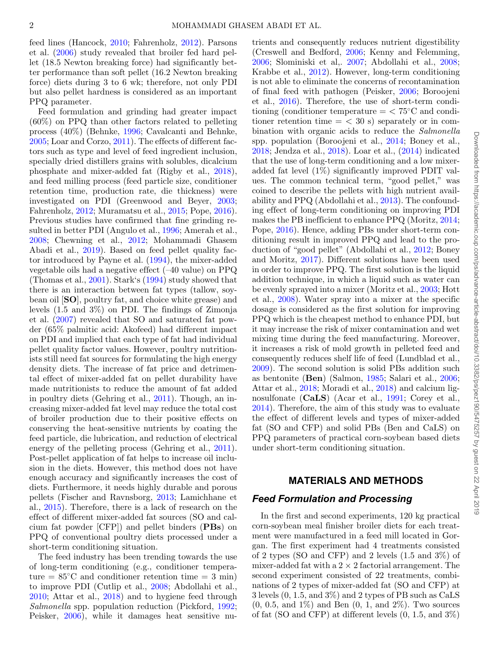feed lines (Hancock, [2010;](#page-7-2) Fahrenholz, [2012\)](#page-7-6). Parsons et al. [\(2006\)](#page-7-7) study revealed that broiler fed hard pellet (18.5 Newton breaking force) had significantly better performance than soft pellet (16.2 Newton breaking force) diets during 3 to 6 wk; therefore, not only PDI but also pellet hardness is considered as an important PPQ parameter.

Feed formulation and grinding had greater impact (60%) on PPQ than other factors related to pelleting process (40%) (Behnke, [1996;](#page-6-1) Cavalcanti and Behnke, [2005;](#page-7-8) Loar and Corzo, [2011\)](#page-7-9). The effects of different factors such as type and level of feed ingredient inclusion, specially dried distillers grains with solubles, dicalcium phosphate and mixer-added fat (Rigby et al., [2018\)](#page-8-4), and feed milling process (feed particle size, conditioner retention time, production rate, die thickness) were investigated on PDI (Greenwood and Beyer, [2003;](#page-7-10) Fahrenholz, [2012;](#page-7-6) Muramatsu et al., [2015;](#page-7-11) Pope, [2016\)](#page-8-3). Previous studies have confirmed that fine grinding resulted in better PDI (Angulo et al., [1996;](#page-6-2) Amerah et al., [2008;](#page-6-3) Chewning et al., [2012;](#page-7-12) Mohammadi Ghasem Abadi et al., [2019\)](#page-7-1). Based on feed pellet quality factor introduced by Payne et al. [\(1994\)](#page-7-13), the mixer-added vegetable oils had a negative effect (–40 value) on PPQ (Thomas et al., [2001\)](#page-8-5). Stark's [\(1994\)](#page-8-6) study showed that there is an interaction between fat types (tallow, soybean oil [**SO**], poultry fat, and choice white grease) and levels (1.5 and 3%) on PDI. The findings of Zimonja et al. [\(2007\)](#page-8-7) revealed that SO and saturated fat powder (65% palmitic acid: Akofeed) had different impact on PDI and implied that each type of fat had individual pellet quality factor values. However, poultry nutritionists still need fat sources for formulating the high energy density diets. The increase of fat price and detrimental effect of mixer-added fat on pellet durability have made nutritionists to reduce the amount of fat added in poultry diets (Gehring et al., [2011\)](#page-7-14). Though, an increasing mixer-added fat level may reduce the total cost of broiler production due to their positive effects on conserving the heat-sensitive nutrients by coating the feed particle, die lubrication, and reduction of electrical energy of the pelleting process (Gehring et al., [2011\)](#page-7-14). Post-pellet application of fat helps to increase oil inclusion in the diets. However, this method does not have enough accuracy and significantly increases the cost of diets. Furthermore, it needs highly durable and porous pellets (Fischer and Ravnsborg, [2013;](#page-7-15) Lamichhane et al., [2015\)](#page-7-16). Therefore, there is a lack of research on the effect of different mixer-added fat sources (SO and calcium fat powder [CFP]) and pellet binders (**PBs**) on PPQ of conventional poultry diets processed under a short-term conditioning situation.

The feed industry has been trending towards the use of long-term conditioning (e.g., conditioner temperature =  $85^{\circ}$ C and conditioner retention time = 3 min) to improve PDI (Cutlip et al., [2008;](#page-7-17) Abdollahi et al., [2010;](#page-6-4) Attar et al., [2018\)](#page-6-5) and to hygiene feed through *Salmonella* spp. population reduction (Pickford, [1992;](#page-7-18) Peisker, [2006\)](#page-7-19), while it damages heat sensitive nutrients and consequently reduces nutrient digestibility (Creswell and Bedford, [2006;](#page-7-20) Kenny and Felemming, [2006;](#page-7-21) Slominiski et al,. [2007;](#page-8-8) Abdollahi et al., [2008;](#page-6-6) Krabbe et al., [2012\)](#page-7-22). However, long-term conditioning is not able to eliminate the concerns of recontamination of final feed with pathogen (Peisker, [2006;](#page-7-19) Boroojeni et al., [2016\)](#page-7-23). Therefore, the use of short-term conditioning (conditioner temperature  $=$  < 75 $°C$  and conditioner retention time  $=$  < 30 s) separately or in combination with organic acids to reduce the *Salmonella* spp. population (Boroojeni et al., [2014;](#page-7-24) Boney et al., [2018;](#page-6-7) Jendza et al., [2018\)](#page-7-25). Loar et al., [\(2014\)](#page-7-26) indicated that the use of long-term conditioning and a low mixeradded fat level (1%) significantly improved PDIT values. The common technical term, "good pellet," was coined to describe the pellets with high nutrient availability and PPQ (Abdollahi et al*.*, [2013\)](#page-6-0). The confounding effect of long-term conditioning on improving PDI makes the PB inefficient to enhance PPQ (Moritz, [2014;](#page-7-27) Pope, [2016\)](#page-8-3). Hence, adding PBs under short-term conditioning result in improved PPQ and lead to the production of "good pellet" (Abdollahi et al., [2012;](#page-6-8) Boney and Moritz, [2017\)](#page-6-9). Different solutions have been used in order to improve PPQ. The first solution is the liquid addition technique, in which a liquid such as water can be evenly sprayed into a mixer (Moritz et al., [2003;](#page-7-28) Hott et al., [2008\)](#page-7-29). Water spray into a mixer at the specific dosage is considered as the first solution for improving PPQ which is the cheapest method to enhance PDI, but it may increase the risk of mixer contamination and wet mixing time during the feed manufacturing. Moreover, it increases a risk of mold growth in pelleted feed and consequently reduces shelf life of feed (Lundblad et al., [2009\)](#page-7-30). The second solution is solid PBs addition such as bentonite (**Ben**) (Salmon, [1985;](#page-8-9) Salari et al., [2006;](#page-8-10) Attar et al., [2018;](#page-6-5) Moradi et al., [2018\)](#page-7-31) and calcium lignosulfonate (**CaLS**) (Acar et al., [1991;](#page-6-10) Corey et al., [2014\)](#page-7-32). Therefore, the aim of this study was to evaluate the effect of different levels and types of mixer-added fat (SO and CFP) and solid PBs (Ben and CaLS) on PPQ parameters of practical corn-soybean based diets under short-term conditioning situation.

### **MATERIALS AND METHODS**

### *Feed Formulation and Processing*

In the first and second experiments, 120 kg practical corn-soybean meal finisher broiler diets for each treatment were manufactured in a feed mill located in Gorgan. The first experiment had 4 treatments consisted of 2 types (SO and CFP) and 2 levels (1.5 and 3%) of mixer-added fat with a  $2 \times 2$  factorial arrangement. The second experiment consisted of 22 treatments, combinations of 2 types of mixer-added fat (SO and CFP) at 3 levels (0, 1.5, and 3%) and 2 types of PB such as CaLS  $(0, 0.5, \text{ and } 1\%)$  and Ben  $(0, 1, \text{ and } 2\%)$ . Two sources of fat (SO and CFP) at different levels  $(0, 1.5, \text{ and } 3\%)$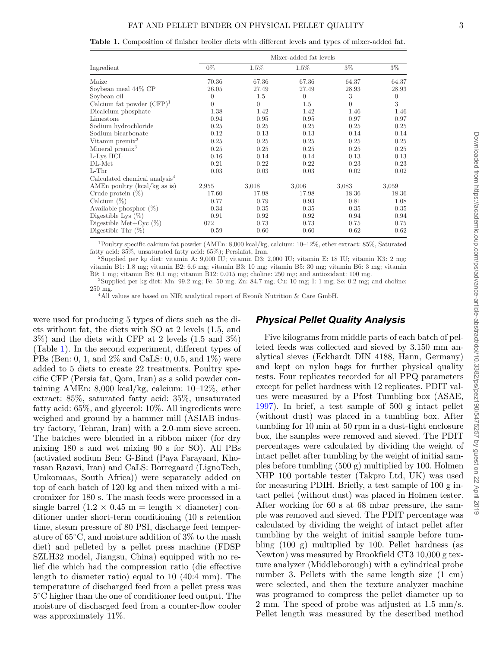<span id="page-2-0"></span>**Table 1.** Composition of finisher broiler diets with different levels and types of mixer-added fat.

|                                           | Mixer-added fat levels |          |          |          |          |  |  |
|-------------------------------------------|------------------------|----------|----------|----------|----------|--|--|
| Ingredient                                | $0\%$                  | $1.5\%$  | $1.5\%$  | $3\%$    | $3\%$    |  |  |
| Maize                                     | 70.36                  | 67.36    | 67.36    | 64.37    | 64.37    |  |  |
| Soybean meal 44\% CP                      | 26.05                  | 27.49    | 27.49    | 28.93    | 28.93    |  |  |
| Soybean oil                               | $\Omega$               | 1.5      | $\Omega$ | 3        | $\theta$ |  |  |
| Calcium fat powder $(CFP)^1$              | $\Omega$               | $\Omega$ | 1.5      | $\Omega$ | 3        |  |  |
| Dicalcium phosphate                       | 1.38                   | 1.42     | 1.42     | 1.46     | 1.46     |  |  |
| Limestone                                 | 0.94                   | 0.95     | 0.95     | 0.97     | 0.97     |  |  |
| Sodium hydrochloride                      | 0.25                   | 0.25     | 0.25     | 0.25     | 0.25     |  |  |
| Sodium bicarbonate                        | 0.12                   | 0.13     | 0.13     | 0.14     | 0.14     |  |  |
| Vitamin premix <sup>2</sup>               | 0.25                   | 0.25     | 0.25     | 0.25     | 0.25     |  |  |
| Mineral premix $3$                        | 0.25                   | 0.25     | 0.25     | 0.25     | 0.25     |  |  |
| L-Lys HCL                                 | 0.16                   | 0.14     | 0.14     | 0.13     | 0.13     |  |  |
| DL-Met                                    | 0.21                   | 0.22     | 0.22     | 0.23     | 0.23     |  |  |
| $L-Thr$                                   | 0.03                   | 0.03     | 0.03     | 0.02     | 0.02     |  |  |
| Calculated chemical analysis <sup>4</sup> |                        |          |          |          |          |  |  |
| AMEn poultry (kcal/kg as is)              | 2,955                  | 3,018    | 3,006    | 3.083    | 3,059    |  |  |
| Crude protein $(\%)$                      | 17.60                  | 17.98    | 17.98    | 18.36    | 18.36    |  |  |
| Calcium $(\%)$                            | 0.77                   | 0.79     | 0.93     | 0.81     | 1.08     |  |  |
| Available phosphor $(\%)$                 | 0.34                   | 0.35     | 0.35     | 0.35     | 0.35     |  |  |
| Digestible Lys $(\%)$                     | 0.91                   | 0.92     | 0.92     | 0.94     | 0.94     |  |  |
| Digestible Met+Cyc $(\%)$                 | 072                    | 0.73     | 0.73     | 0.75     | 0.75     |  |  |
| Digestible Thr $(\%)$                     | 0.59                   | 0.60     | 0.60     | 0.62     | 0.62     |  |  |

1Poultry specific calcium fat powder (AMEn: 8,000 kcal/kg, calcium: 10–12%, ether extract: 85%, Saturated

<sup>2</sup>Supplied per kg diet: vitamin A: 9,000 IU; vitamin D3: 2,000 IU; vitamin E: 18 IU; vitamin K3: 2 mg; vitamin B1: 1.8 mg; vitamin B2: 6.6 mg; vitamin B3: 10 mg; vitamin B5: 30 mg; vitamin B6: 3 mg; vitamin

 ${}^{3}$ Supplied per kg diet: Mn: 99.2 mg; Fe: 50 mg; Zn: 84.7 mg; Cu: 10 mg; I: 1 mg; Se: 0.2 mg; and choline:  $^{250}$  mg.  $^{4}\mbox{All}$  values are based on NIR analytical report of Evonik Nutrition & Care GmbH.

were used for producing 5 types of diets such as the diets without fat, the diets with SO at 2 levels (1.5, and 3%) and the diets with CFP at 2 levels (1.5 and 3%) (Table [1\)](#page-2-0). In the second experiment, different types of PBs (Ben: 0, 1, and 2% and CaLS: 0, 0.5, and 1%) were added to 5 diets to create 22 treatments. Poultry specific CFP (Persia fat, Qom, Iran) as a solid powder containing AMEn: 8,000 kcal/kg, calcium: 10–12%, ether extract: 85%, saturated fatty acid: 35%, unsaturated fatty acid: 65%, and glycerol: 10%. All ingredients were weighed and ground by a hammer mill (ASIAB industry factory, Tehran, Iran) with a 2.0-mm sieve screen. The batches were blended in a ribbon mixer (for dry mixing 180 s and wet mixing 90 s for SO). All PBs (activated sodium Ben: G-Bind (Paya Farayand, Khorasan Razavi, Iran) and CaLS: Borregaard (LignoTech, Umkomaas, South Africa)) were separately added on top of each batch of 120 kg and then mixed with a micromixer for 180 s. The mash feeds were processed in a single barrel  $(1.2 \times 0.45 \text{ m} = \text{length} \times \text{diameter})$  conditioner under short-term conditioning (10 s retention time, steam pressure of 80 PSI, discharge feed temperature of 65◦C, and moisture addition of 3% to the mash diet) and pelleted by a pellet press machine (FDSP SZLH32 model, Jiangsu, China) equipped with no relief die which had the compression ratio (die effective length to diameter ratio) equal to 10 (40:4 mm). The temperature of discharged feed from a pellet press was 5◦C higher than the one of conditioner feed output. The moisture of discharged feed from a counter-flow cooler was approximately 11%.

## *Physical Pellet Quality Analysis*

Five kilograms from middle parts of each batch of pelleted feeds was collected and sieved by 3.150 mm analytical sieves (Eckhardt DIN 4188, Hann, Germany) and kept on nylon bags for further physical quality tests. Four replicates recorded for all PPQ parameters except for pellet hardness with 12 replicates. PDIT values were measured by a Pfost Tumbling box (ASAE, [1997\)](#page-6-11). In brief, a test sample of 500 g intact pellet (without dust) was placed in a tumbling box. After tumbling for 10 min at 50 rpm in a dust-tight enclosure box, the samples were removed and sieved. The PDIT percentages were calculated by dividing the weight of intact pellet after tumbling by the weight of initial samples before tumbling (500 g) multiplied by 100. Holmen NHP 100 portable tester (Takpro Ltd, UK) was used for measuring PDIH. Briefly, a test sample of 100 g intact pellet (without dust) was placed in Holmen tester. After working for 60 s at 68 mba[r](#page-3-0) pressure, the sample was removed and sieved. The PDIT percentage was calculated by dividing the weight of intact pellet after tumbling by the weight of initial sample before tumbling (100 g) multiplied by 100. Pellet hardness (as Newton) was measured by Brookfield CT3 10,000 g texture analyzer (Middleborough) with a cylindrical probe number 3. Pellets with the same length size (1 cm) were selected, and then the texture analyzer machine was programed to compress the pellet diameter up to 2 mm. The speed of probe was adjusted at 1.5 mm/s. Pellet length was measured by the described method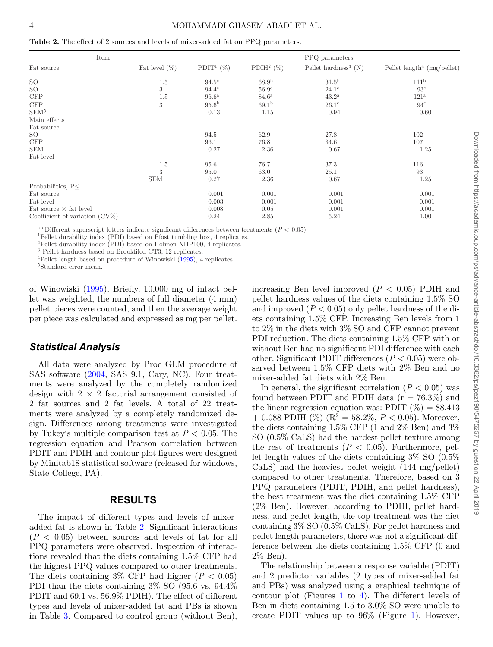<span id="page-3-0"></span>**Table 2.** The effect of 2 sources and levels of mixer-added fat on PPQ parameters.

| Item                              | PPQ parameters   |                          |                          |                                    |                                        |
|-----------------------------------|------------------|--------------------------|--------------------------|------------------------------------|----------------------------------------|
| Fat source                        | Fat level $(\%)$ | PDIT <sup>1</sup> $(\%)$ | PDIH <sup>2</sup> $(\%)$ | Pellet hardness <sup>3</sup> $(N)$ | Pellet length <sup>4</sup> (mg/pellet) |
| SO                                | 1.5              | $94.5^{\circ}$           | 68.9 <sup>b</sup>        | 31.5 <sup>b</sup>                  | 111 <sup>b</sup>                       |
| SO                                | 3                | $94.4^{\circ}$           | 56.9 <sup>c</sup>        | $24.1^\circ$                       | 93 <sup>c</sup>                        |
| CFP                               | 1.5              | 96.6 <sup>a</sup>        | 84.6 <sup>a</sup>        | $43.2^{\rm a}$                     | 121 <sup>a</sup>                       |
| CFP                               | 3                | 95.6 <sup>b</sup>        | 69.1 <sup>b</sup>        | $26.1^{\circ}$                     | 94 <sup>c</sup>                        |
| SEM <sup>5</sup>                  |                  | 0.13                     | 1.15                     | 0.94                               | 0.60                                   |
| Main effects                      |                  |                          |                          |                                    |                                        |
| Fat source                        |                  |                          |                          |                                    |                                        |
| SO                                |                  | 94.5                     | 62.9                     | 27.8                               | 102                                    |
| CFP                               |                  | 96.1                     | 76.8                     | 34.6                               | 107                                    |
| <b>SEM</b>                        |                  | 0.27                     | 2.36                     | 0.67                               | 1.25                                   |
| Fat level                         |                  |                          |                          |                                    |                                        |
|                                   | 1.5              | 95.6                     | 76.7                     | 37.3                               | 116                                    |
|                                   | 3                | 95.0                     | 63.0                     | 25.1                               | 93                                     |
|                                   | <b>SEM</b>       | 0.27                     | 2.36                     | 0.67                               | 1.25                                   |
| Probabilities, P<                 |                  |                          |                          |                                    |                                        |
| Fat source                        |                  | 0.001                    | 0.001                    | 0.001                              | 0.001                                  |
| Fat level                         |                  | 0.003                    | 0.001                    | 0.001                              | 0.001                                  |
| Fat source $\times$ fat level     |                  | 0.008                    | 0.05                     | 0.001                              | 0.001                                  |
| Coefficient of variation $(CV\%)$ |                  | 0.24                     | 2.85                     | 5.24                               | 1.00                                   |

<sup>a–c</sup>Different superscript letters indicate significant differences between treatments ( $P < 0.05$ ). <sup>1</sup>Pellet durability index (PDI) based on Pfost tumbling box, 4 replicates.

2Pellet durability index (PDI) based on Holmen NHP100, 4 replicates.

<sup>3</sup> Pellet hardness based on Brookfiled CT3, 12 replicates.

<sup>4</sup>Pellet length based on procedure of Winowiski [\(1995\)](#page-8-1), 4 replicates.<sup>5</sup>Standard error mean.

of Winowiski [\(1995\)](#page-8-1). Briefly, 10,000 mg of intact pellet was weighted, the numbers of full diameter (4 mm) pellet pieces were counted, and then the average weight per piece was calculated and expressed as mg per pellet.

## *Statistical Analysis*

All data were analyzed by Proc GLM procedure of SAS software [\(2004,](#page-8-11) SAS 9.1, Cary, NC). Four treatments were analyzed by the completely randomized design with  $2 \times 2$  factorial arrangement consisted of 2 fat sources and 2 fat levels. A total of 22 treatments were analyzed by a completely randomized design. Differences among treatments were investigated by Tukey's multiple comparison test at  $P < 0.05$ . The regression equation and Pearson correlation between PDIT and PDIH and contour plot figures were designed by Minitab18 statistical software (released for windows, State College, PA).

## **RESULTS**

The impact of different types and levels of mixeradded fat is shown in Table [2.](#page-3-0) Significant interactions  $(P < 0.05)$  between sources and levels of fat for all PPQ parameters were observed. Inspection of interactions revealed that the diets containing 1.5% CFP had the highest PPQ values compared to other treatments. The diets containing  $3\%$  CFP had higher ( $P < 0.05$ ) PDI than the diets containing 3% SO (95.6 vs. 94.4% PDIT and 69.1 vs. 56.9% PDIH). The effect of different types and levels of mixer-added fat and PBs is shown in Table [3.](#page-4-0) Compared to control group (without Ben),

increasing Ben level improved (*P* < 0.05) PDIH and pellet hardness values of the diets containing 1.5% SO and improved  $(P < 0.05)$  only pellet hardness of the diets containing 1.5% CFP. Increasing Ben levels from 1 to 2% in the diets with 3% SO and CFP cannot prevent PDI reduction. The diets containing 1.5% CFP with or without Ben had no significant PDI difference with each other. Significant PDIT differences  $(P < 0.05)$  were observed between 1.5% CFP diets with 2% Ben and no mixer-added fat diets with 2% Ben.

In general, the significant correlation  $(P < 0.05)$  was found between PDIT and PDIH data  $(r = 76.3\%)$  and the linear regression equation was: PDIT  $(\%) = 88.413$  $+$  0.088 PDIH (%) (R<sup>2</sup> = 58.2%, P < 0.05). Moreover, the diets containing 1.5% CFP (1 and 2% Ben) and 3% SO (0.5% CaLS) had the hardest pellet texture among the rest of treatments  $(P < 0.05)$ . Furthermore, pellet length values of the diets containing 3% SO (0.5% CaLS) had the heaviest pellet weight (144 mg/pellet) compared to other treatments. Therefore, based on 3 PPQ parameters (PDIT, PDIH, and pellet hardness), the best treatment was the diet containing 1.5% CFP (2% Ben). However, according to PDIH, pellet hardness, and pellet length, the top treatment was the diet containing 3% SO (0.5% CaLS). For pellet hardness and pellet length parameters, there was not a significant difference between the diets containing 1.5% CFP (0 and 2% Ben).

The relationship between a response variable (PDIT) and 2 predictor variables (2 types of mixer-added fat and PBs) was analyzed using a graphical technique of contour plot (Figures [1](#page-4-1) to [4\)](#page-5-0). The different levels of Ben in diets containing 1.5 to 3.0% SO were unable to create PDIT values up to 96% (Figure [1\)](#page-4-1). However,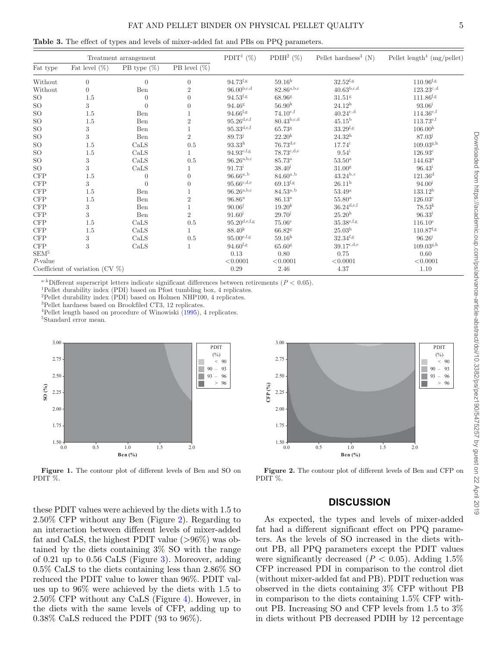<span id="page-4-0"></span>**Table 3.** The effect of types and levels of mixer-added fat and PBs on PPQ parameters.

| Treatment arrangement       |                                     |                |                 | PDIT <sup>1</sup> $(\%)$ | PDIH <sup>2</sup> $(\%)$ | Pellet hardness <sup>3</sup> $(N)$   | Pellet length <sup>4</sup> (mg/pellet) |
|-----------------------------|-------------------------------------|----------------|-----------------|--------------------------|--------------------------|--------------------------------------|----------------------------------------|
| Fat type                    | Fat level $(\%)$                    | PB type $(\%)$ | PB level $(\%)$ |                          |                          |                                      |                                        |
| Without                     | $\theta$                            | $\theta$       | $\overline{0}$  | $94.73$ <sup>f,g</sup>   | $59.16^{\rm h}$          | $32.52^{f,g}$                        | $110.96$ <sup>f,g</sup>                |
| Without                     | $\theta$                            | Ben            | $\overline{2}$  | $96.00^{b,c,d}$          | $82.86^{\rm a,b,c}$      | $40.63^{b,c,d}$                      | $123.23^{c,d}$                         |
| SO.                         | 1.5                                 | $\Omega$       | $\Omega$        | $94.53^{f,g}$            | 68.96 <sup>g</sup>       | 31.51 <sup>g</sup>                   | $111.86$ <sup>f,g</sup>                |
| SO.                         | 3                                   | $\Omega$       | $\Omega$        | $94.46^{\rm g}$          | 56.90 <sup>h</sup>       | $24.12^{\rm h}$                      | $93.06^{\rm i}$                        |
| $\rm SO$                    | $1.5\,$                             | Ben            |                 | $94.66$ <sup>f,g</sup>   | $74.10^{e,f}$            | $40.24^{\text{c,d}}$                 | $114.36^{\text{e,f}}$                  |
| SO.                         | $1.5\,$                             | Ben            | $\overline{2}$  | $95.26^{\text{d,e,f}}$   | $80.43^{b,c,d}$          | $45.15^{\rm b}$                      | $113.73^{e,f}$                         |
| $\rm SO$                    | 3                                   | Ben            |                 | $95.33^{d,e,f}$          | 65.73g                   | $33.29^{\mathrm{f,g}}$               | 106.00 <sup>h</sup>                    |
| <b>SO</b>                   | 3                                   | Ben            | $\overline{2}$  | $89.73^{j}$              | $22.20^{k}$              | $24.32^{\rm h}$                      | $87.03^{j}$                            |
| SO.                         | 1.5                                 | CaLS           | $0.5\,$         | $93.33^{\rm h}$          | $76.73^{d,e}$            | $17.74^{\rm i}$                      | $109.03^{g,h}$                         |
| $\rm SO$                    | $1.5\,$                             | CaLS           |                 | $94.93^{e,f,g}$          | $78.73^{c,d,e}$          | $9.54^{\rm i}$                       | 126.93c                                |
| SO.                         | 3                                   | CaLS           | 0.5             | $96.26^{a,b,c}$          | $85.73^{\rm a}$          | 53.50 <sup>a</sup>                   | $144.63^{\rm a}$                       |
| $\rm SO$                    | 3                                   | CaLS           |                 | $91.73^{\rm i}$          | $38.40^{\rm i}$          | 31.00 <sup>g</sup>                   | $96.43^{\rm i}$                        |
| CFP                         | 1.5                                 | $\theta$       | $\Omega$        | $96.66^{a,b}$            | $84.60^{a,b}$            | $43.24^{b,c}$                        | 121.36 <sup>d</sup>                    |
| CFP                         | 3                                   | $\Omega$       | $\Omega$        | $95.66^{\mathrm{c,d,e}}$ | $69.13^{f,g}$            | $26.11^{\rm h}$                      | 94.00 <sup>i</sup>                     |
| $\ensuremath{\mathsf{CFP}}$ | $1.5\,$                             | Ben            |                 | $96.26^{a,b,c}$          | $84.53^{a,b}$            | $53.49^{\mathrm{a}}$                 | $133.12^{\rm b}$                       |
| $\ensuremath{\mathsf{CFP}}$ | $1.5\,$                             | Ben            | $\overline{2}$  | $96.86^{\rm a}$          | $86.13^{\rm a}$          | $55.80^{\rm a}$                      | $126.03^c$                             |
| $\ensuremath{\mathsf{CFP}}$ | 3                                   | Ben            |                 | $90.06^{j}$              | 19.20 <sup>k</sup>       | $36.24^{\text{d,e,f}}$               | $78.53^{\rm k}$                        |
| CFP                         | 3                                   | Ben            | $\overline{2}$  | $91.60^{\rm i}$          | $29.70^{j}$              | 25.20 <sup>h</sup>                   | $96.33^{i}$                            |
| $\ensuremath{\mathsf{CFP}}$ | 1.5                                 | CaLS           | 0.5             | $95.20^{\text{d,e,f,g}}$ | 75.06 <sup>e</sup>       | $35.38^{\text{e,f,g}}$               | $116.10^e$                             |
| CFP                         | $1.5\,$                             | CaLS           |                 | $88.40^{k}$              | 66.82 <sup>g</sup>       | $25.03^{\rm h}$                      | $110.87$ <sup>f,g</sup>                |
| CFP                         | 3                                   | CaLS           | 0.5             | $95.00^{\mathrm{e,f,g}}$ | 59.16 <sup>h</sup>       | $32.34$ <sup>f,g</sup>               | $96.26^{\rm i}$                        |
| $\ensuremath{\mathsf{CFP}}$ | 3                                   | CaLS           |                 | $94.60$ <sup>f,g</sup>   | $65.60$ <sup>g</sup>     | $39.17^{\text{c},\text{d},\text{e}}$ | 109.03 <sup>g,h</sup>                  |
| SEM <sup>5</sup>            |                                     |                |                 | 0.13                     | 0.80                     | 0.75                                 | 0.60                                   |
| $P$ -value                  |                                     |                |                 | < 0.0001                 | < 0.0001                 | < 0.0001                             | < 0.0001                               |
|                             | Coefficient of variation (CV $\%$ ) |                |                 | 0.29                     | 2.46                     | 4.37                                 | 1.10                                   |

<sup>a–k</sup>Different superscript letters indicate significant differences between retirements ( $P < 0.05$ ). <sup>1</sup>Pellet durability index (PDI) based on Pfost tumbling box, 4 replicates.

2Pellet durability index (PDI) based on Holmen NHP100, 4 replicates.

3Pellet hardness based on Brookfiled CT3, 12 replicates.

 $^4\!$  Pellet length based on procedure of Winowiski [\(1995\)](#page-8-1), 4 replicates.  $^5\!S\!tandard$  error mean.

<span id="page-4-1"></span>

**Figure 1.** The contour plot of different levels of Ben and SO on PDIT %.

these PDIT values were achieved by the diets with 1.5 to 2.50% CFP without any Ben (Figure [2\)](#page-4-2). Regarding to an interaction between different levels of mixer-added fat and CaLS, the highest PDIT value  $(>96\%)$  was obtained by the diets containing 3% SO with the range of 0.21 up to 0.56 CaLS (Figure [3\)](#page-5-1). Moreover, adding 0.5% CaLS to the diets containing less than 2.86% SO reduced the PDIT value to lower than 96%. PDIT values up to 96% were achieved by the diets with 1.5 to 2.50% CFP without any CaLS (Figure [4\)](#page-5-0). However, in the diets with the same levels of CFP, adding up to 0.38% CaLS reduced the PDIT (93 to 96%).

<span id="page-4-2"></span>

**Figure 2.** The contour plot of different levels of Ben and CFP on PDIT %.

## **DISCUSSION**

As expected, the types and levels of mixer-added fat had a different significant effect on PPQ parameters. As the levels of SO increased in the diets without PB, all PPQ parameters except the PDIT values were significantly decreased  $(P < 0.05)$ . Adding 1.5% CFP increased PDI in comparison to the control diet (without mixer-added fat and PB). PDIT reduction was observed in the diets containing 3% CFP without PB in comparison to the diets containing 1.5% CFP without PB. Increasing SO and CFP levels from 1.5 to 3% in diets without PB decreased PDIH by 12 percentage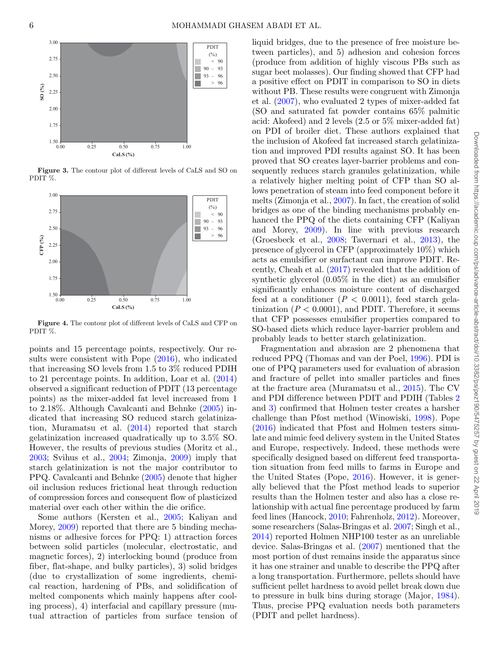<span id="page-5-1"></span>

**Figure 3.** The contour plot of different levels of CaLS and SO on PDIT %.

<span id="page-5-0"></span>

**Figure 4.** The contour plot of different levels of CaLS and CFP on PDIT %.

points and 15 percentage points, respectively. Our results were consistent with Pope [\(2016\)](#page-8-3), who indicated that increasing SO levels from 1.5 to 3% reduced PDIH to 21 percentage points. In addition, Loar et al. [\(2014\)](#page-7-26) observed a significant reduction of PDIT (13 percentage points) as the mixer-added fat level increased from 1 to 2.18%. Although Cavalcanti and Behnke [\(2005\)](#page-7-8) indicated that increasing SO reduced starch gelatinization, Muramatsu et al. [\(2014\)](#page-7-33) reported that starch gelatinization increased quadratically up to 3.5% SO. However, the results of previous studies (Moritz et al., [2003;](#page-7-28) Svihus et al., [2004;](#page-8-12) Zimonja, [2009\)](#page-8-13) imply that starch gelatinization is not the major contributor to PPQ. Cavalcanti and Behnke [\(2005\)](#page-7-8) denote that higher oil inclusion reduces frictional heat through reduction of compression forces and consequent flow of plasticized material over each other within the die orifice.

Some authors (Kersten et al., [2005;](#page-7-34) Kaliyan and Morey, [2009\)](#page-7-35) reported that there are 5 binding mechanisms or adhesive forces for PPQ: 1) attraction forces between solid particles (molecular, electrostatic, and magnetic forces), 2) interlocking bound (produce from fiber, flat-shape, and bulky particles), 3) solid bridges (due to crystallization of some ingredients, chemical reaction, hardening of PBs, and solidification of melted components which mainly happens after cooling process), 4) interfacial and capillary pressure (mutual attraction of particles from surface tension of liquid bridges, due to the presence of free moisture between particles), and 5) adhesion and cohesion forces (produce from addition of highly viscous PBs such as sugar beet molasses). Our finding showed that CFP had a positive effect on PDIT in comparison to SO in diets without PB. These results were congruent with Zimonja et al. [\(2007\)](#page-8-7), who evaluated 2 types of mixer-added fat (SO and saturated fat powder contains 65% palmitic acid: Akofeed) and 2 levels (2.5 or 5% mixer-added fat) on PDI of broiler diet. These authors explained that the inclusion of Akofeed fat increased starch gelatinization and improved PDI results against SO. It has been proved that SO creates layer-barrier problems and consequently reduces starch granules gelatinization, while a relatively higher melting point of CFP than SO allows penetration of steam into feed component before it melts (Zimonja et al., [2007\)](#page-8-7). In fact, the creation of solid bridges as one of the binding mechanisms probably enhanced the PPQ of the diets containing CFP (Kaliyan and Morey, [2009\)](#page-7-35). In line with previous research (Groesbeck et al., [2008;](#page-7-36) Tavernari et al., [2013\)](#page-8-14), the presence of glycerol in CFP (approximately 10%) which acts as emulsifier or surfactant can improve PDIT. Recently, Cheah et al. [\(2017\)](#page-7-37) revealed that the addition of synthetic glycerol (0.05% in the diet) as an emulsifier significantly enhances moisture content of discharged feed at a conditioner  $(P < 0.0011)$ , feed starch gelatinization  $(P < 0.0001)$ , and PDIT. Therefore, it seems that CFP possesses emulsifier properties compared to SO-based diets which reduce layer-barrier problem and probably leads to better starch gelatinization.

Fragmentation and abrasion are 2 phenomena that reduced PPQ (Thomas and van der Poel, [1996\)](#page-8-2). PDI is one of PPQ parameters used for evaluation of abrasion and fracture of pellet into smaller particles and fines at the fracture area (Muramatsu et al., [2015\)](#page-7-11). The CV and PDI difference between PDIT and PDIH (Tables [2](#page-3-0) and [3\)](#page-4-0) confirmed that Holmen tester creates a harsher challenge than Pfost method (Winowiski, [1998\)](#page-8-15). Pope [\(2016\)](#page-8-3) indicated that Pfost and Holmen testers simulate and mimic feed delivery system in the United States and Europe, respectively. Indeed, these methods were specifically designed based on different feed transportation situation from feed mills to farms in Europe and the United States (Pope, [2016\)](#page-8-3). However, it is generally believed that the Pfost method leads to superior results than the Holmen tester and also has a close relationship with actual fine percentage produced by farm feed lines (Hancock, [2010;](#page-7-2) Fahrenholz, [2012\)](#page-7-6). Moreover, some researchers (Salas-Bringas et al. [2007;](#page-8-16) Singh et al., [2014\)](#page-8-17) reported Holmen NHP100 tester as an unreliable device. Salas-Bringas et al. [\(2007\)](#page-8-16) mentioned that the most portion of dust remains inside the apparatus since it has one strainer and unable to describe the PPQ after a long transportation. Furthermore, pellets should have sufficient pellet hardness to avoid pellet break down due to pressure in bulk bins during storage (Major, [1984\)](#page-7-38). Thus, precise PPQ evaluation needs both parameters (PDIT and pellet hardness).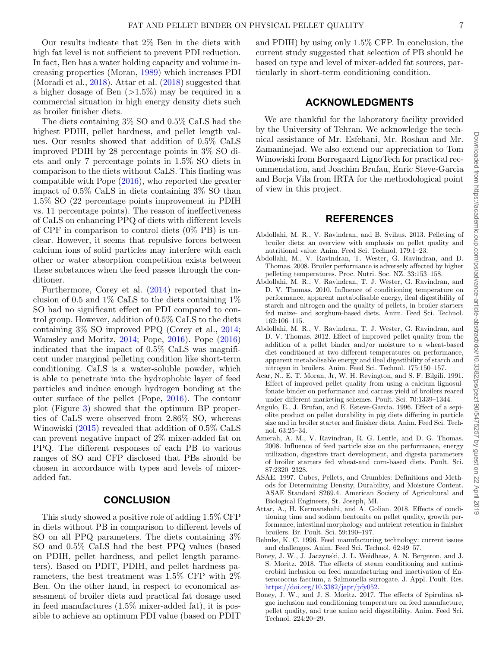Our results indicate that 2% Ben in the diets with high fat level is not sufficient to prevent PDI reduction. In fact, Ben has a water holding capacity and volume increasing properties (Moran, [1989\)](#page-7-39) which increases PDI (Moradi et al., [2018\)](#page-7-31). Attar et al. [\(2018\)](#page-6-5) suggested that a higher dosage of Ben  $(>1.5\%)$  may be required in a commercial situation in high energy density diets such as broiler finisher diets.

The diets containing 3% SO and 0.5% CaLS had the highest PDIH, pellet hardness, and pellet length values. Our results showed that addition of 0.5% CaLS improved PDIH by 28 percentage points in 3% SO diets and only 7 percentage points in 1.5% SO diets in comparison to the diets without CaLS. This finding was compatible with Pope [\(2016\)](#page-8-3), who reported the greater impact of 0.5% CaLS in diets containing 3% SO than 1.5% SO (22 percentage points improvement in PDIH vs*.* 11 percentage points). The reason of ineffectiveness of CaLS on enhancing PPQ of diets with different levels of CPF in comparison to control diets (0% PB) is unclear. However, it seems that repulsive forces between calcium ions of solid particles may interfere with each other or water absorption competition exists between these substances when the feed passes through the conditioner.

Furthermore, Corey et al. [\(2014\)](#page-7-32) reported that inclusion of 0.5 and  $1\%$  CaLS to the diets containing  $1\%$ SO had no significant effect on PDI compared to control group. However, addition of 0.5% CaLS to the diets containing 3% SO improved PPQ (Corey et al., [2014;](#page-7-32) Wamsley and Moritz, [2014;](#page-8-18) Pope, [2016\)](#page-8-3). Pope [\(2016\)](#page-8-3) indicated that the impact of 0.5% CaLS was magnificent under marginal pelleting condition like short-term conditioning. CaLS is a water-soluble powder, which is able to penetrate into the hydrophobic layer of feed particles and induce enough hydrogen bonding at the outer surface of the pellet (Pope, [2016\)](#page-8-3). The contour plot (Figure [3\)](#page-5-1) showed that the optimum BP properties of CaLS were observed from 2.86% SO, whereas Winowiski [\(2015\)](#page-8-19) revealed that addition of 0.5% CaLS can prevent negative impact of 2% mixer-added fat on PPQ. The different responses of each PB to various ranges of SO and CFP disclosed that PBs should be chosen in accordance with types and levels of mixeradded fat.

#### **CONCLUSION**

This study showed a positive role of adding 1.5% CFP in diets without PB in comparison to different levels of SO on all PPQ parameters. The diets containing 3% SO and 0.5% CaLS had the best PPQ values (based on PDIH, pellet hardness, and pellet length parameters). Based on PDIT, PDIH, and pellet hardness parameters, the best treatment was 1.5% CFP with 2% Ben. On the other hand, in respect to economical assessment of broiler diets and practical fat dosage used in feed manufactures (1.5% mixer-added fat), it is possible to achieve an optimum PDI value (based on PDIT and PDIH) by using only 1.5% CFP. In conclusion, the current study suggested that selection of PB should be based on type and level of mixer-added fat sources, particularly in short-term conditioning condition.

## **ACKNOWLEDGMENTS**

We are thankful for the laboratory facility provided by the University of Tehran. We acknowledge the technical assistance of Mr. Esfehani, Mr. Roshan and Mr. Zamaninejad. We also extend our appreciation to Tom Winowiski from Borregaard LignoTech for practical recommendation, and Joachim Brufau, Enric Steve-Garcia and Borja Vila from IRTA for the methodological point of view in this project.

## **REFERENCES**

- <span id="page-6-0"></span>Abdollahi, M. R., V. Ravindran, and B. Svihus. 2013. Pelleting of broiler diets: an overview with emphasis on pellet quality and nutritional value. Anim. Feed Sci. Technol. 179:1–23.
- <span id="page-6-6"></span>Abdollahi, M., V. Ravindran, T. Wester, G. Ravindran, and D. Thomas. 2008. Broiler performance is adversely affected by higher pelleting temperatures. Proc. Nutri. Soc. NZ. 33:153–158.
- <span id="page-6-4"></span>Abdollahi, M. R., V. Ravindran, T. J. Wester, G. Ravindran, and D. V. Thomas. 2010. Influence of conditioning temperature on performance, apparent metabolisable energy, ileal digestibility of starch and nitrogen and the quality of pellets, in broiler starters fed maize- and sorghum-based diets. Anim. Feed Sci. Technol. 162:106–115.
- <span id="page-6-8"></span>Abdollahi, M. R., V. Ravindran, T. J. Wester, G. Ravindran, and D. V. Thomas. 2012. Effect of improved pellet quality from the addition of a pellet binder and/or moisture to a wheat-based diet conditioned at two different temperatures on performance, apparent metabolisable energy and ileal digestibility of starch and nitrogen in broilers. Anim. Feed Sci. Technol. 175:150–157.
- <span id="page-6-10"></span>Acar, N., E. T. Moran, Jr, W. H. Revington, and S. F. Bilgili. 1991. Effect of improved pellet quality from using a calcium lignosulfonate binder on performance and carcass yield of broilers reared under different marketing schemes. Poult. Sci. 70:1339–1344.
- <span id="page-6-2"></span>Angulo, E., J. Brufau, and E. Esteve-Garcia. 1996. Effect of a sepiolite product on pellet durability in pig diets differing in particle size and in broiler starter and finisher diets. Anim. Feed Sci. Technol. 63:25–34.
- <span id="page-6-3"></span>Amerah, A. M., V. Ravindran, R. G. Lentle, and D. G. Thomas. 2008. Influence of feed particle size on the performance, energy utilization, digestive tract development, and digesta parameters of broiler starters fed wheat-and corn-based diets. Poult. Sci. 87:2320–2328.
- <span id="page-6-11"></span>ASAE. 1997. Cubes, Pellets, and Crumbles: Definitions and Methods for Determining Density, Durability, and Moisture Content. ASAE Standard S269.4. American Society of Agricultural and Biological Engineers, St. Joseph, MI.
- <span id="page-6-5"></span>Attar, A., H. Kermanshahi, and A. Golian. 2018. Effects of conditioning time and sodium bentonite on pellet quality, growth performance, intestinal morphology and nutrient retention in finisher broilers. Br. Poult. Sci. 59:190–197.
- <span id="page-6-1"></span>Behnke, K. C. 1996. Feed manufacturing technology: current issues and challenges. Anim. Feed Sci. Technol. 62:49–57.
- <span id="page-6-7"></span>Boney, J. W., J. Jaczynski, J. L. Weidhaas, A. N. Bergeron, and J. S. Moritz. 2018. The effects of steam conditioning and antimicrobial inclusion on feed manufacturing and inactivation of Enterococcus faecium, a Salmonella surrogate. J. Appl. Poult. Res. [https://doi.org/10.3382/japr/pfy052.](https://doi.org/10.3382/japr/pfy052)
- <span id="page-6-9"></span>Boney, J. W., and J. S. Moritz. 2017. The effects of Spirulina algae inclusion and conditioning temperature on feed manufacture, pellet quality, and true amino acid digestibility. Anim. Feed Sci. Technol. 224:20–29.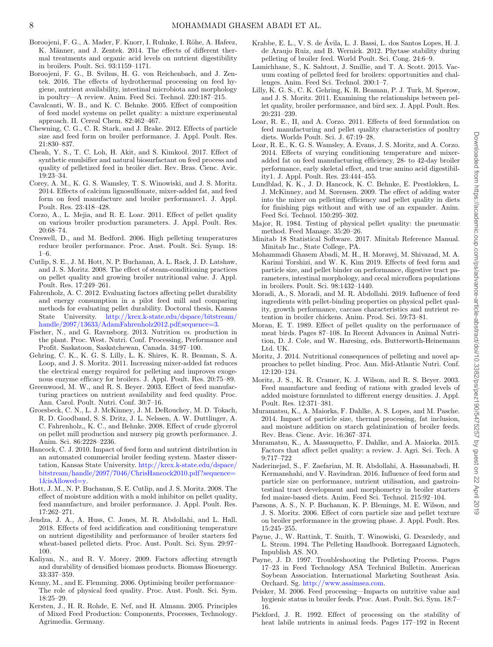- <span id="page-7-24"></span>Boroojeni, F. G., A. Mader, F. Knorr, I. Ruhnke, I. Röhe, A. Hafeez, K. Männer, and J. Zentek. 2014. The effects of different thermal treatments and organic acid levels on nutrient digestibility in broilers. Poult. Sci. 93:1159–1171.
- <span id="page-7-23"></span>Boroojeni, F. G., B. Svihus, H. G. von Reichenbach, and J. Zentek. 2016. The effects of hydrothermal processing on feed hygiene, nutrient availability, intestinal microbiota and morphology in poultry—A review. Anim. Feed Sci. Technol. 220:187–215.
- <span id="page-7-8"></span>Cavalcanti, W. B., and K. C. Behnke. 2005. Effect of composition of feed model systems on pellet quality: a mixture experimental approach. II. Cereal Chem. 82:462–467.
- <span id="page-7-12"></span>Chewning, C. G., C. R. Stark, and J. Brake. 2012. Effects of particle size and feed form on broiler performance. J. Appl. Poult. Res. 21:830–837.
- <span id="page-7-37"></span>Cheah, Y. S., T. C. Loh, H. Akit, and S. Kimkool. 2017. Effect of synthetic emulsifier and natural biosurfactant on feed process and quality of pelletized feed in broiler diet. Rev. Bras. Cienc. Avic. 19:23–34.
- <span id="page-7-32"></span>Corey, A. M., K. G. S. Wamsley, T. S. Winowiski, and J. S. Moritz. 2014. Effects of calcium lignosulfonate, mixer-added fat, and feed form on feed manufacture and broiler performance1. J. Appl. Poult. Res. 23:418–428.
- <span id="page-7-3"></span>Corzo, A., L. Mejia, and R. E. Loar. 2011. Effect of pellet quality on various broiler production parameters. J. Appl. Poult. Res. 20:68–74.
- <span id="page-7-20"></span>Creswell, D., and M. Bedford. 2006. High pelleting temperatures reduce broiler performance. Proc. Aust. Poult. Sci. Symp. 18: 1–6.
- <span id="page-7-17"></span>Cutlip, S. E., J. M. Hott, N. P. Buchanan, A. L. Rack, J. D. Latshaw, and J. S. Moritz. 2008. The effect of steam-conditioning practices on pellet quality and growing broiler nutritional value. J. Appl. Poult. Res. 17:249–261.
- <span id="page-7-6"></span>Fahrenholz, A. C. 2012. Evaluating factors affecting pellet durability and energy consumption in a pilot feed mill and comparing methods for evaluating pellet durability. Doctoral thesis, Kansas State University. [http://krex.k-state.edu/dspace/bitstream/](http://krex.k-state.edu/dspace/bitstream/handle/2097/13633/AdamFahrenholz2012.pdf;sequence=3) [handle/2097/13633/AdamFahrenholz2012.pdf;sequence=3.](http://krex.k-state.edu/dspace/bitstream/handle/2097/13633/AdamFahrenholz2012.pdf;sequence=3)
- <span id="page-7-15"></span>Fischer, N., and G. Ravnsborg. 2013. Nutrition *vs*. production in the plant. Proc. West. Nutri. Conf. Processing, Performance and Profit. Saskatoon, Saskatchewan, Canada. 34:97–100.
- <span id="page-7-14"></span>Gehring, C. K., K. G. S. Lilly, L. K. Shires, K. R. Beaman, S. A. Loop, and J. S. Moritz. 2011. Increasing mixer-added fat reduces the electrical energy required for pelleting and improves exogenous enzyme efficacy for broilers. J. Appl. Poult. Res. 20:75–89.
- <span id="page-7-10"></span>Greenwood, M. W., and R. S. Beyer. 2003. Effect of feed manufacturing practices on nutrient availability and feed quality. Proc. Ann. Carol. Poult. Nutri. Conf. 30:7–16.
- <span id="page-7-36"></span>Groesbeck, C. N., L. J. McKinney, J. M. DeRouchey, M. D. Tokach, R. D. Goodband, S. S. Dritz, J. L. Nelssen, A. W. Duttlinger, A. C. Fahrenholz,, K. C., and Behnke. 2008. Effect of crude glycerol on pellet mill production and nursery pig growth performance. J. Anim. Sci. 86:2228–2236.
- <span id="page-7-2"></span>Hancock, C. J. 2010. Impact of feed form and nutrient distribution in an automated commercial broiler feeding system. Master dissertation, Kansas State University. [http://krex.k-state.edu/dspace/](http://krex.k-state.edu/dspace/bitstream/handle/2097/7046/ChrisHancock2010.pdf?sequence=1&isAllowed=y) [bitstream/handle/2097/7046/ChrisHancock2010.pdf?sequence=](http://krex.k-state.edu/dspace/bitstream/handle/2097/7046/ChrisHancock2010.pdf?sequence=1&isAllowed=y) [1&isAllowed=y.](http://krex.k-state.edu/dspace/bitstream/handle/2097/7046/ChrisHancock2010.pdf?sequence=1&isAllowed=y)
- <span id="page-7-29"></span>Hott, J. M., N. P. Buchanan, S. E. Cutlip, and J. S. Moritz. 2008. The effect of moisture addition with a mold inhibitor on pellet quality, feed manufacture, and broiler performance. J. Appl. Poult. Res. 17:262–271.
- <span id="page-7-25"></span>Jendza, J. A., A. Huss, C. Jones, M. R. Abdollahi, and L. Hall. 2018. Effects of feed acidification and conditioning temperature on nutrient digestibility and performance of broiler starters fed wheat-based pelleted diets. Proc. Aust. Poult. Sci. Sym. 29:97– 100.
- <span id="page-7-35"></span>Kaliyan, N., and R. V. Morey. 2009. Factors affecting strength and durability of densified biomass products. Biomass Bioenergy. 33:337–359.
- <span id="page-7-21"></span>Kenny, M., and E. Flemming. 2006. Optimising broiler performance– The role of physical feed quality. Proc. Aust. Poult. Sci. Sym. 18:25–29.
- <span id="page-7-34"></span>Kersten, J., H. R. Rohde, E. Nef, and H. Almann. 2005. Principles of Mixed Feed Production: Components, Processes, Technology. Agrimedia. Germany.
- <span id="page-7-22"></span>Krabbe, E. L., V. S. de Ávila, L. J. Bassi, L. dos Santos Lopes, H. J. de Araujo Ruiz, and B. Wernick. 2012. Phytase stability during pelleting of broiler feed. World Poult. Sci. Cong. 24:6–9.
- <span id="page-7-16"></span>Lamichhane, S., K. Sahtout, J. Smillie, and T. A. Scott. 2015. Vacuum coating of pelleted feed for broilers: opportunities and challenges. Anim. Feed Sci. Technol. 200:1–7.
- <span id="page-7-4"></span>Lilly, K. G. S., C. K. Gehring, K. R. Beaman, P. J. Turk, M. Sperow, and J. S. Moritz. 2011. Examining the relationships between pellet quality, broiler performance, and bird sex. J. Appl. Poult. Res. 20:231–239.
- <span id="page-7-9"></span>Loar, R. E., II, and A. Corzo. 2011. Effects of feed formulation on feed manufacturing and pellet quality characteristics of poultry diets. Worlds Poult. Sci. J. 67:19–28.
- <span id="page-7-26"></span>Loar, R. E., K. G. S. Wamsley, A. Evans, J. S. Moritz, and A. Corzo. 2014. Effects of varying conditioning temperature and mixeradded fat on feed manufacturing efficiency, 28- to 42-day broiler performance, early skeletal effect, and true amino acid digestibility1. J. Appl. Poult. Res. 23:444–455.
- <span id="page-7-30"></span>Lundblad, K. K., J. D. Hancock, K. C. Behnke, E. Prestløkken, L. J. McKinney, and M. Sørensen. 2009. The effect of adding water into the mixer on pelleting efficiency and pellet quality in diets for finishing pigs without and with use of an expander. Anim. Feed Sci. Technol. 150:295–302.
- <span id="page-7-38"></span>Major, R. 1984. Testing of physical pellet quality: the pneumatic method. Feed Manage. 35:20–26.
- Minitab 18 Statistical Software. 2017. Minitab Reference Manual. Minitab Inc., State College, PA.
- <span id="page-7-1"></span>Mohammadi Ghasem Abadi, M. H., H. Moravej, M. Shivazad, M. A. Karimi Torshizi, and W. K. Kim 2019. Effects of feed form and particle size, and pellet binder on performance, digestive tract parameters, intestinal morphology, and cecal microflora populations in broilers. Poult. Sci. 98:1432–1440.
- <span id="page-7-31"></span>Moradi, A., S. Moradi, and M. R. Abdollahi. 2019. Influence of feed ingredients with pellet-binding properties on physical pellet quality, growth performance, carcass characteristics and nutrient retention in broiler chickens. Anim. Prod. Sci. 59:73–81.
- <span id="page-7-39"></span>Moran, E. T. 1989. Effect of pellet quality on the performance of meat birds. Pages 87–108. In Recent Advances in Animal Nutrition, D. J. Cole, and W. Haresing, eds. Butterworth-Heinemann Ltd. UK.
- <span id="page-7-27"></span>Moritz, J. 2014. Nutritional consequences of pelleting and novel approaches to pellet binding. Proc. Ann. Mid-Atlantic Nutri. Conf. 12:120–124.
- <span id="page-7-28"></span>Moritz, J. S., K. R. Cramer, K. J. Wilson, and R. S. Beyer. 2003. Feed manufacture and feeding of rations with graded levels of added moisture formulated to different energy densities. J. Appl. Poult. Res. 12:371–381.
- <span id="page-7-33"></span>Muramatsu, K., A. Maiorka, F. Dahlke, A. S. Lopes, and M. Pasche. 2014. Impact of particle size, thermal processing, fat inclusion, and moisture addition on starch gelatinization of broiler feeds. Rev. Bras. Cienc. Avic. 16:367–374.
- <span id="page-7-11"></span>Muramatsu, K., A. Massuquetto, F. Dahlke, and A. Maiorka. 2015. Factors that affect pellet quality: a review. J. Agri. Sci. Tech. A 9:717–722
- <span id="page-7-0"></span>Naderinejad, S., F. Zaefarian, M. R. Abdollahi, A. Hassanabadi, H. Kermanshahi, and V. Ravindran. 2016. Influence of feed form and particle size on performance, nutrient utilisation, and gastrointestinal tract development and morphometry in broiler starters fed maize-based diets. Anim. Feed Sci. Technol. 215:92–104.
- <span id="page-7-7"></span>Parsons, A. S., N. P. Buchanan, K. P. Blemings, M. E. Wilson, and J. S. Moritz. 2006. Effect of corn particle size and pellet texture on broiler performance in the growing phase. J. Appl. Poult. Res. 15:245–255.
- <span id="page-7-13"></span>Payne, J., W. Rattink, T. Smith, T. Winowiski, G. Dearsledy, and L. Strøm. 1994. The Pelleting Handbook. Borregaard Lignotech, Inpublish AS. NO.
- <span id="page-7-5"></span>Payne, J. D. 1997. Troubleshooting the Pelleting Process. Pages 17–23 in Feed Technology ASA Technical Bulletin. American Soybean Association. International Marketing Southeast Asia. Orchard. Sg. [http://www.asaimsea.com.](http://www.asaimsea.com)
- <span id="page-7-19"></span>Peisker, M. 2006. Feed processing—Impacts on nutritive value and hygienic status in broiler feeds. Proc. Aust. Poult. Sci. Sym. 18:7– 16.
- <span id="page-7-18"></span>Pickford, J. R. 1992. Effect of processing on the stability of heat labile nutrients in animal feeds. Pages 177–192 in Recent